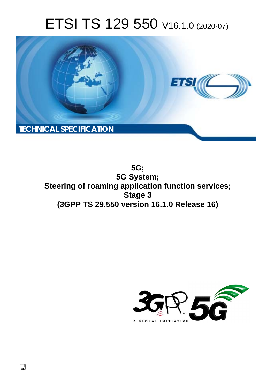# ETSI TS 129 550 V16.1.0 (2020-07)



**5G; 5G System; Steering of roaming application function services; Stage 3 (3GPP TS 29.550 version 16.1.0 Release 16)** 

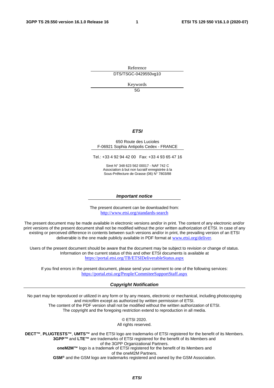Reference DTS/TSGC-0429550vg10

Keywords

 $5G$ 

#### *ETSI*

#### 650 Route des Lucioles F-06921 Sophia Antipolis Cedex - FRANCE

Tel.: +33 4 92 94 42 00 Fax: +33 4 93 65 47 16

Siret N° 348 623 562 00017 - NAF 742 C Association à but non lucratif enregistrée à la Sous-Préfecture de Grasse (06) N° 7803/88

#### *Important notice*

The present document can be downloaded from: <http://www.etsi.org/standards-search>

The present document may be made available in electronic versions and/or in print. The content of any electronic and/or print versions of the present document shall not be modified without the prior written authorization of ETSI. In case of any existing or perceived difference in contents between such versions and/or in print, the prevailing version of an ETSI deliverable is the one made publicly available in PDF format at [www.etsi.org/deliver](http://www.etsi.org/deliver).

Users of the present document should be aware that the document may be subject to revision or change of status. Information on the current status of this and other ETSI documents is available at <https://portal.etsi.org/TB/ETSIDeliverableStatus.aspx>

If you find errors in the present document, please send your comment to one of the following services: <https://portal.etsi.org/People/CommiteeSupportStaff.aspx>

#### *Copyright Notification*

No part may be reproduced or utilized in any form or by any means, electronic or mechanical, including photocopying and microfilm except as authorized by written permission of ETSI. The content of the PDF version shall not be modified without the written authorization of ETSI.

The copyright and the foregoing restriction extend to reproduction in all media.

© ETSI 2020. All rights reserved.

**DECT™**, **PLUGTESTS™**, **UMTS™** and the ETSI logo are trademarks of ETSI registered for the benefit of its Members. **3GPP™** and **LTE™** are trademarks of ETSI registered for the benefit of its Members and of the 3GPP Organizational Partners. **oneM2M™** logo is a trademark of ETSI registered for the benefit of its Members and of the oneM2M Partners.

**GSM®** and the GSM logo are trademarks registered and owned by the GSM Association.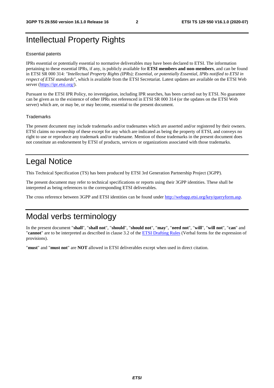### Intellectual Property Rights

#### Essential patents

IPRs essential or potentially essential to normative deliverables may have been declared to ETSI. The information pertaining to these essential IPRs, if any, is publicly available for **ETSI members and non-members**, and can be found in ETSI SR 000 314: *"Intellectual Property Rights (IPRs); Essential, or potentially Essential, IPRs notified to ETSI in respect of ETSI standards"*, which is available from the ETSI Secretariat. Latest updates are available on the ETSI Web server [\(https://ipr.etsi.org/](https://ipr.etsi.org/)).

Pursuant to the ETSI IPR Policy, no investigation, including IPR searches, has been carried out by ETSI. No guarantee can be given as to the existence of other IPRs not referenced in ETSI SR 000 314 (or the updates on the ETSI Web server) which are, or may be, or may become, essential to the present document.

#### **Trademarks**

The present document may include trademarks and/or tradenames which are asserted and/or registered by their owners. ETSI claims no ownership of these except for any which are indicated as being the property of ETSI, and conveys no right to use or reproduce any trademark and/or tradename. Mention of those trademarks in the present document does not constitute an endorsement by ETSI of products, services or organizations associated with those trademarks.

### Legal Notice

This Technical Specification (TS) has been produced by ETSI 3rd Generation Partnership Project (3GPP).

The present document may refer to technical specifications or reports using their 3GPP identities. These shall be interpreted as being references to the corresponding ETSI deliverables.

The cross reference between 3GPP and ETSI identities can be found under<http://webapp.etsi.org/key/queryform.asp>.

### Modal verbs terminology

In the present document "**shall**", "**shall not**", "**should**", "**should not**", "**may**", "**need not**", "**will**", "**will not**", "**can**" and "**cannot**" are to be interpreted as described in clause 3.2 of the [ETSI Drafting Rules](https://portal.etsi.org/Services/editHelp!/Howtostart/ETSIDraftingRules.aspx) (Verbal forms for the expression of provisions).

"**must**" and "**must not**" are **NOT** allowed in ETSI deliverables except when used in direct citation.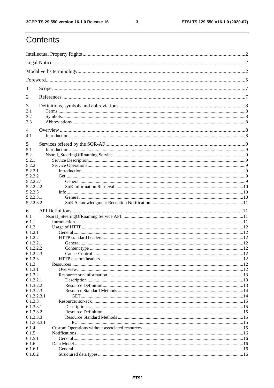$\mathbf{3}$ 

## Contents

| 1                      |  |
|------------------------|--|
| 2                      |  |
| 3                      |  |
| 3.1                    |  |
| 3.2<br>3.3             |  |
|                        |  |
| $\overline{4}$         |  |
| 4.1                    |  |
| 5                      |  |
| 5.1                    |  |
| 5.2                    |  |
| 5.2.1                  |  |
| 5.2.2                  |  |
| 5.2.2.1<br>5.2.2.2     |  |
| 5.2.2.2.1              |  |
| 5.2.2.2.2              |  |
| 5.2.2.3                |  |
| 5.2.2.3.1              |  |
| 5.2.2.3.2              |  |
| 6                      |  |
| 6.1                    |  |
| 6.1.1                  |  |
| 6.1.2                  |  |
| 6.1.2.1                |  |
| 6.1.2.2                |  |
| 6.1.2.2.1              |  |
| 6.1.2.2.2              |  |
| 6.1.2.2.3<br>6.1.2.3   |  |
| 6.1.3                  |  |
| 6.1.3.1                |  |
| 6.1.3.2                |  |
| 6.1.3.2.1              |  |
| 6.1.3.2.2              |  |
| 6.1.3.2.3              |  |
| 6.1.3.2.3.1            |  |
| 6.1.3.3                |  |
| 6.1.3.3.1              |  |
| 6.1.3.3.2<br>6.1.3.3.3 |  |
| 6.1.3.3.3.1            |  |
| 6.1.4                  |  |
| 6.1.5                  |  |
| 6.1.5.1                |  |
| 6.1.6                  |  |
| 6.1.6.1                |  |
| 6.1.6.2                |  |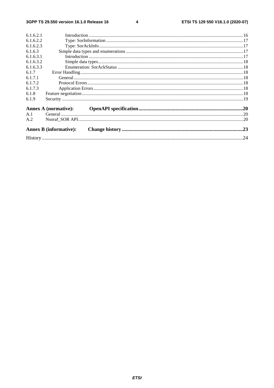$\overline{\mathbf{4}}$ 

| 6.1.6.2.1 |                               |  |
|-----------|-------------------------------|--|
| 6.1.6.2.2 |                               |  |
| 6.1.6.2.3 |                               |  |
| 6.1.6.3   |                               |  |
| 6.1.6.3.1 |                               |  |
| 6.1.6.3.2 |                               |  |
| 6.1.6.3.3 |                               |  |
| 6.1.7     |                               |  |
| 6.1.7.1   |                               |  |
| 6.1.7.2   |                               |  |
| 6.1.7.3   |                               |  |
| 6.1.8     |                               |  |
| 6.1.9     |                               |  |
|           |                               |  |
| A.1       |                               |  |
| A.2       |                               |  |
|           | <b>Annex B</b> (informative): |  |
|           |                               |  |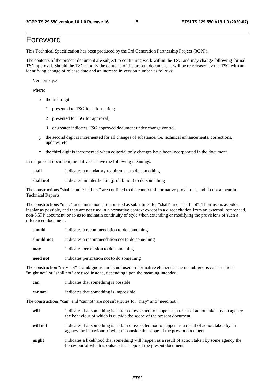### Foreword

This Technical Specification has been produced by the 3rd Generation Partnership Project (3GPP).

The contents of the present document are subject to continuing work within the TSG and may change following formal TSG approval. Should the TSG modify the contents of the present document, it will be re-released by the TSG with an identifying change of release date and an increase in version number as follows:

Version x.y.z

where:

- x the first digit:
	- 1 presented to TSG for information;
	- 2 presented to TSG for approval;
	- 3 or greater indicates TSG approved document under change control.
- y the second digit is incremented for all changes of substance, i.e. technical enhancements, corrections, updates, etc.
- z the third digit is incremented when editorial only changes have been incorporated in the document.

In the present document, modal verbs have the following meanings:

**shall** indicates a mandatory requirement to do something

**shall not** indicates an interdiction (prohibition) to do something

The constructions "shall" and "shall not" are confined to the context of normative provisions, and do not appear in Technical Reports.

The constructions "must" and "must not" are not used as substitutes for "shall" and "shall not". Their use is avoided insofar as possible, and they are not used in a normative context except in a direct citation from an external, referenced, non-3GPP document, or so as to maintain continuity of style when extending or modifying the provisions of such a referenced document.

| should     | indicates a recommendation to do something     |
|------------|------------------------------------------------|
| should not | indicates a recommendation not to do something |
| may        | indicates permission to do something           |
| need not   | indicates permission not to do something       |

The construction "may not" is ambiguous and is not used in normative elements. The unambiguous constructions "might not" or "shall not" are used instead, depending upon the meaning intended.

| can    | indicates that something is possible   |
|--------|----------------------------------------|
| cannot | indicates that something is impossible |

The constructions "can" and "cannot" are not substitutes for "may" and "need not".

| will     | indicates that something is certain or expected to happen as a result of action taken by an agency<br>the behaviour of which is outside the scope of the present document     |
|----------|-------------------------------------------------------------------------------------------------------------------------------------------------------------------------------|
| will not | indicates that something is certain or expected not to happen as a result of action taken by an<br>agency the behaviour of which is outside the scope of the present document |
| might    | indicates a likelihood that something will happen as a result of action taken by some agency the<br>behaviour of which is outside the scope of the present document           |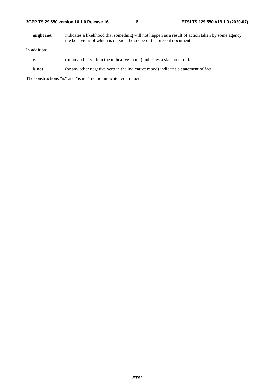| 3GPP TS 29.550 version 16.1.0 Release 16 |  |
|------------------------------------------|--|
|------------------------------------------|--|

**might not** indicates a likelihood that something will not happen as a result of action taken by some agency the behaviour of which is outside the scope of the present document

In addition:

- is (or any other verb in the indicative mood) indicates a statement of fact
- **is not** (or any other negative verb in the indicative mood) indicates a statement of fact

The constructions "is" and "is not" do not indicate requirements.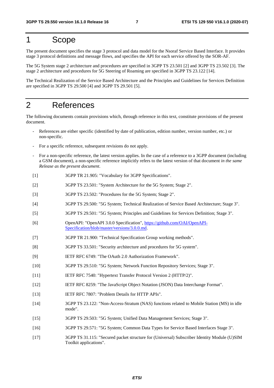### 1 Scope

The present document specifies the stage 3 protocol and data model for the Nsoraf Service Based Interface. It provides stage 3 protocol definitions and message flows, and specifies the API for each service offered by the SOR-AF.

The 5G System stage 2 architecture and procedures are specified in 3GPP TS 23.501 [2] and 3GPP TS 23.502 [3]. The stage 2 architecture and procedures for 5G Steering of Roaming are specified in 3GPP TS 23.122 [14].

The Technical Realization of the Service Based Architecture and the Principles and Guidelines for Services Definition are specified in 3GPP TS 29.500 [4] and 3GPP TS 29.501 [5].

### 2 References

The following documents contain provisions which, through reference in this text, constitute provisions of the present document.

- References are either specific (identified by date of publication, edition number, version number, etc.) or non-specific.
- For a specific reference, subsequent revisions do not apply.
- For a non-specific reference, the latest version applies. In the case of a reference to a 3GPP document (including a GSM document), a non-specific reference implicitly refers to the latest version of that document *in the same Release as the present document*.
- [1] 3GPP TR 21.905: "Vocabulary for 3GPP Specifications".
- [2] 3GPP TS 23.501: "System Architecture for the 5G System; Stage 2".
- [3] 3GPP TS 23.502: "Procedures for the 5G System; Stage 2".
- [4] 3GPP TS 29.500: "5G System; Technical Realization of Service Based Architecture; Stage 3".
- [5] 3GPP TS 29.501: "5G System; Principles and Guidelines for Services Definition; Stage 3".
- [6] OpenAPI: "OpenAPI 3.0.0 Specification", [https://github.com/OAI/OpenAPI](https://github.com/OAI/OpenAPI-Specification/blob/master/versions/3.0.0.md)-[Specification/blob/master/versions/3.0.0.md](https://github.com/OAI/OpenAPI-Specification/blob/master/versions/3.0.0.md).
- [7] 3GPP TR 21.900: "Technical Specification Group working methods".
- [8] 3GPP TS 33.501: "Security architecture and procedures for 5G system".
- [9] IETF RFC 6749: "The OAuth 2.0 Authorization Framework".
- [10] 3GPP TS 29.510: "5G System; Network Function Repository Services; Stage 3".
- [11] IETF RFC 7540: "Hypertext Transfer Protocol Version 2 (HTTP/2)".
- [12] IETF RFC 8259: "The JavaScript Object Notation (JSON) Data Interchange Format".
- [13] IETF RFC 7807: "Problem Details for HTTP APIs".
- [14] 3GPP TS 23.122: "Non-Access-Stratum (NAS) functions related to Mobile Station (MS) in idle mode".
- [15] 3GPP TS 29.503: "5G System; Unified Data Management Services; Stage 3".
- [16] 3GPP TS 29.571: "5G System; Common Data Types for Service Based Interfaces Stage 3".
- [17] 3GPP TS 31.115: "Secured packet structure for (Universal) Subscriber Identity Module (U)SIM Toolkit applications".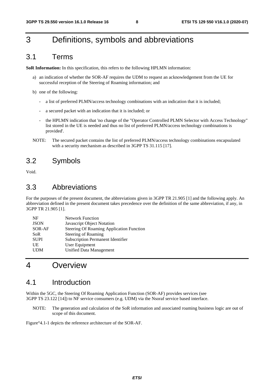### 3 Definitions, symbols and abbreviations

### 3.1 Terms

**SoR Information:** In this specification, this refers to the following HPLMN information:

- a) an indication of whether the SOR-AF requires the UDM to request an acknowledgement from the UE for successful reception of the Steering of Roaming information; and
- b) one of the following:
	- a list of preferred PLMN/access technology combinations with an indication that it is included;
	- a secured packet with an indication that it is included; or
	- the HPLMN indication that 'no change of the "Operator Controlled PLMN Selector with Access Technology" list stored in the UE is needed and thus no list of preferred PLMN/access technology combinations is provided'.
- NOTE: The secured packet contains the list of preferred PLMN/access technology combinations encapsulated with a security mechanism as described in 3GPP TS 31.115 [17].

### 3.2 Symbols

Void.

### 3.3 Abbreviations

For the purposes of the present document, the abbreviations given in 3GPP TR 21.905 [1] and the following apply. An abbreviation defined in the present document takes precedence over the definition of the same abbreviation, if any, in 3GPP TR 21.905 [1].

| <b>JSON</b><br>Javascript Object Notation<br>SOR-AF<br><b>Steering of Roaming</b><br><b>SoR</b> | NF          | <b>Network Function</b>                         |
|-------------------------------------------------------------------------------------------------|-------------|-------------------------------------------------|
|                                                                                                 |             |                                                 |
|                                                                                                 |             | <b>Steering Of Roaming Application Function</b> |
|                                                                                                 |             |                                                 |
|                                                                                                 | <b>SUPI</b> | Subscription Permanent Identifier               |
| User Equipment<br>UE                                                                            |             |                                                 |
| <b>UDM</b><br>Unified Data Management                                                           |             |                                                 |

### 4 Overview

### 4.1 Introduction

Within the 5GC, the Steering Of Roaming Application Function (SOR-AF) provides services (see 3GPP TS 23.122 [14]) to NF service consumers (e.g. UDM) via the Nsoraf service based interface.

NOTE: The generation and calculation of the SoR information and associated roaming business logic are out of scope of this document.

Figure°4.1-1 depicts the reference architecture of the SOR-AF.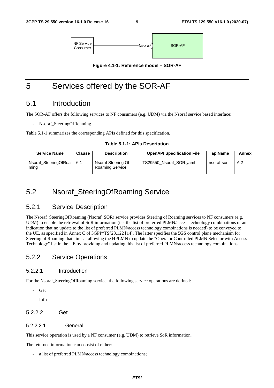

**Figure 4.1-1: Reference model – SOR-AF** 

### 5 Services offered by the SOR-AF

### 5.1 Introduction

The SOR-AF offers the following services to NF consumers (e.g. UDM) via the Nsoraf service based interface:

Nsoraf SteeringOfRoaming

Table 5.1-1 summarizes the corresponding APIs defined for this specification.

#### **Table 5.1-1: APIs Description**

| <b>Service Name</b>          | <b>Clause</b> | <b>Description</b>                           | <b>OpenAPI Specification File</b> | apiName    | Annex |
|------------------------------|---------------|----------------------------------------------|-----------------------------------|------------|-------|
| Nsoraf_SteeringOfRoa<br>ming | 6.1           | Nsoraf Steering Of<br><b>Roaming Service</b> | TS29550 Nsoraf SOR.yaml           | nsoraf-sor | A.2   |

### 5.2 Nsoraf\_SteeringOfRoaming Service

#### 5.2.1 Service Description

The Nsoraf SteeringOfRoaming (Nsoraf SOR) service provides Steering of Roaming services to NF consumers (e.g. UDM) to enable the retrieval of SoR information (i.e. the list of preferred PLMN/access technology combinations or an indication that no update to the list of preferred PLMN/access technology combinations is needed) to be conveyed to the UE, as specified in Annex C of 3GPP°TS°23.122 [14]. The latter specifies the 5GS control plane mechanism for Steering of Roaming that aims at allowing the HPLMN to update the "Operator Controlled PLMN Selector with Access Technology" list in the UE by providing and updating this list of preferred PLMN/access technology combinations.

#### 5.2.2 Service Operations

#### 5.2.2.1 Introduction

For the Nsoraf SteeringOfRoaming service, the following service operations are defined:

- Get
- Info
- 5.2.2.2 Get

#### 5.2.2.2.1 General

This service operation is used by a NF consumer (e.g. UDM) to retrieve SoR information.

The returned information can consist of either:

a list of preferred PLMN/access technology combinations;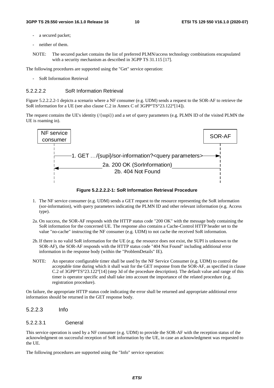- a secured packet;
- neither of them.
- NOTE: The secured packet contains the list of preferred PLMN/access technology combinations encapsulated with a security mechanism as described in 3GPP TS 31.115 [17].

The following procedures are supported using the "Get" service operation:

- SoR Information Retrieval

#### 5.2.2.2.2 SoR Information Retrieval

Figure 5.2.2.2.2-1 depicts a scenario where a NF consumer (e.g. UDM) sends a request to the SOR-AF to retrieve the SoR information for a UE (see also clause C.2 in Annex C of 3GPP°TS°23.122°[14]).

The request contains the UE's identity (/{supi}) and a set of query parameters (e.g. PLMN ID of the visited PLMN the UE is roaming in).



**Figure 5.2.2.2.2-1: SoR Information Retrieval Procedure** 

- 1. The NF service consumer (e.g. UDM) sends a GET request to the resource representing the SoR information (sor-information), with query parameters indicating the PLMN ID and other relevant information (e.g. Access type).
- 2a. On success, the SOR-AF responds with the HTTP status code "200 OK" with the message body containing the SoR information for the concerned UE. The response also contains a Cache-Control HTTP header set to the value "no-cache" instructing the NF consumer (e.g. UDM) to not cache the received SoR information.
- 2b. If there is no valid SoR information for the UE (e.g. the resource does not exist, the SUPI is unknown to the SOR-AF), the SOR-AF responds with the HTTP status code "404 Not Found" including additional error information in the response body (within the "ProblemDetails" IE).
- NOTE: An operator configurable timer shall be used by the NF Service Consumer (e.g. UDM) to control the acceptable time during which it shall wait for the GET response from the SOR-AF, as specified in clause C.2 of 3GPP°TS°23.122°[14] (step 3d of the procedure description). The default value and range of this timer is operator specific and shall take into account the importance of the related procedure (e.g. registration procedure).

On failure, the appropriate HTTP status code indicating the error shall be returned and appropriate additional error information should be returned in the GET response body.

5.2.2.3 Info

#### 5.2.2.3.1 General

This service operation is used by a NF consumer (e.g. UDM) to provide the SOR-AF with the reception status of the acknowledgment on successful reception of SoR information by the UE, in case an acknowledgment was requested to the UE.

The following procedures are supported using the "Info" service operation: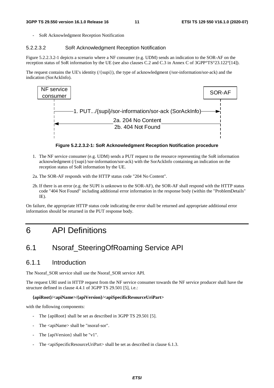SoR Acknowledgment Reception Notification

#### 5.2.2.3.2 SoR Acknowledgment Reception Notification

Figure 5.2.2.3.2-1 depicts a scenario where a NF consumer (e.g. UDM) sends an indication to the SOR-AF on the reception status of SoR information by the UE (see also clauses C.2 and C.3 in Annex C of 3GPP°TS°23.122°[14]).

The request contains the UE's identity (/{supi}), the type of acknowledgment (/sor-information/sor-ack) and the indication (SorAckInfo).



**Figure 5.2.2.3.2-1: SoR Acknowledgment Reception Notification procedure** 

- 1. The NF service consumer (e.g. UDM) sends a PUT request to the resource representing the SoR information acknowledgment (/{supi}/sor-information/sor-ack) with the SorAckInfo containing an indication on the reception status of SoR information by the UE.
- 2a. The SOR-AF responds with the HTTP status code "204 No Content".
- 2b. If there is an error (e.g. the SUPI is unknown to the SOR-AF), the SOR-AF shall respond with the HTTP status code "404 Not Found" including additional error information in the response body (within the "ProblemDetails" IE).

On failure, the appropriate HTTP status code indicating the error shall be returned and appropriate additional error information should be returned in the PUT response body.

### 6 API Definitions

### 6.1 Nsoraf\_SteeringOfRoaming Service API

#### 6.1.1 Introduction

The Nsoraf\_SOR service shall use the Nsoraf\_SOR service API.

The request URI used in HTTP request from the NF service consumer towards the NF service producer shall have the structure defined in clause 4.4.1 of 3GPP TS 29.501 [5], i.e.:

#### **{apiRoot}/<apiName>/{apiVersion}/<apiSpecificResourceUriPart>**

with the following components:

- The {apiRoot} shall be set as described in 3GPP TS 29.501 [5].
- The <apiName> shall be "nsoraf-sor".
- The {apiVersion} shall be "v1".
- The  $\langle$ apiSpecificResourceUriPart $>$ shall be set as described in clause 6.1.3.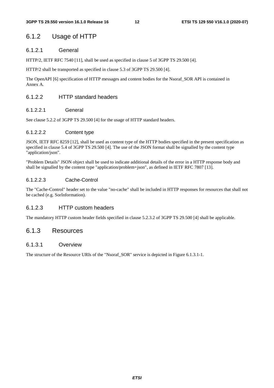### 6.1.2 Usage of HTTP

#### 6.1.2.1 General

HTTP/2, IETF RFC 7540 [11], shall be used as specified in clause 5 of 3GPP TS 29.500 [4].

HTTP/2 shall be transported as specified in clause 5.3 of 3GPP TS 29.500 [4].

The OpenAPI [6] specification of HTTP messages and content bodies for the Nsoraf\_SOR API is contained in Annex A.

#### 6.1.2.2 HTTP standard headers

#### 6.1.2.2.1 General

See clause 5.2.2 of 3GPP TS 29.500 [4] for the usage of HTTP standard headers.

#### 6.1.2.2.2 Content type

JSON, IETF RFC 8259 [12], shall be used as content type of the HTTP bodies specified in the present specification as specified in clause 5.4 of 3GPP TS 29.500 [4]. The use of the JSON format shall be signalled by the content type "application/json".

"Problem Details" JSON object shall be used to indicate additional details of the error in a HTTP response body and shall be signalled by the content type "application/problem+json", as defined in IETF RFC 7807 [13].

#### 6.1.2.2.3 Cache-Control

The "Cache-Control" header set to the value "no-cache" shall be included in HTTP responses for resources that shall not be cached (e.g. SorInformation).

#### 6.1.2.3 HTTP custom headers

The mandatory HTTP custom header fields specified in clause 5.2.3.2 of 3GPP TS 29.500 [4] shall be applicable.

#### 6.1.3 Resources

#### 6.1.3.1 Overview

The structure of the Resource URIs of the "Nsoraf\_SOR" service is depicted in Figure 6.1.3.1-1.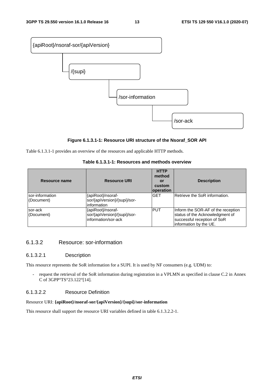

#### **Figure 6.1.3.1-1: Resource URI structure of the Nsoraf\_SOR API**

Table 6.1.3.1-1 provides an overview of the resources and applicable HTTP methods.

#### **Table 6.1.3.1-1: Resources and methods overview**

| Resource name                  | <b>Resource URI</b>                                                      | <b>HTTP</b><br>method<br>or<br>custom<br>operation | <b>Description</b>                                                                                                              |
|--------------------------------|--------------------------------------------------------------------------|----------------------------------------------------|---------------------------------------------------------------------------------------------------------------------------------|
| Isor-information<br>(Document) | {apiRoot}/nsoraf-<br>sor/{apiVersion}/{supi}/sor-<br>information         | <b>GET</b>                                         | Retrieve the SoR information.                                                                                                   |
| sor-ack<br>(Document)          | {apiRoot}/nsoraf-<br>sor/{apiVersion}/{supi}/sor-<br>information/sor-ack | <b>PUT</b>                                         | Inform the SOR-AF of the reception<br>status of the Acknowledgment of<br>successful reception of SoR<br>linformation by the UE. |

#### 6.1.3.2 Resource: sor-information

#### 6.1.3.2.1 Description

This resource represents the SoR information for a SUPI. It is used by NF consumers (e.g. UDM) to:

- request the retrieval of the SoR information during registration in a VPLMN as specified in clause C.2 in Annex C of 3GPP°TS°23.122°[14].

#### 6.1.3.2.2 Resource Definition

#### Resource URI: **{apiRoot}/nsoraf-sor/{apiVersion}/{supi}/sor-information**

This resource shall support the resource URI variables defined in table 6.1.3.2.2-1.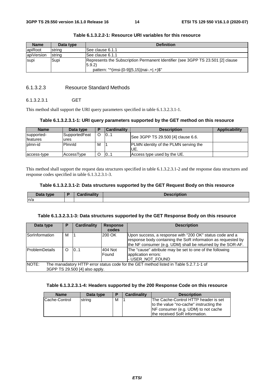| <b>Name</b> | Data type      | <b>Definition</b>                                                                        |
|-------------|----------------|------------------------------------------------------------------------------------------|
| apiRoot     | string         | ISee clause 6.1.1                                                                        |
| apiVersion  | <b>Istring</b> | See clause 6.1.1                                                                         |
| supi        | Supi           | Represents the Subscription Permanent Identifier (see 3GPP TS 23.501 [2] clause<br>5.9.2 |
|             |                | pattern: "^(imsi-[0-9]{5,15} nai-.+ .+)\$"                                               |

#### 6.1.3.2.3 Resource Standard Methods

#### 6.1.3.2.3.1 GET

This method shall support the URI query parameters specified in table 6.1.3.2.3.1-1.

#### **Table 6.1.3.2.3.1-1: URI query parameters supported by the GET method on this resource**

| <b>Name</b>     | Data type     | ▪ | <b>Cardinality</b> | <b>Description</b>                           | Applicability |
|-----------------|---------------|---|--------------------|----------------------------------------------|---------------|
| supported-      | SupportedFeat |   | 101                | See 3GPP TS 29.500 [4] clause 6.6.           |               |
| <b>features</b> | ures          |   |                    |                                              |               |
| lplmn-id        | Pimnid        | M |                    | <b>PLMN</b> identity of the PLMN serving the |               |
|                 |               |   |                    | UE.                                          |               |
| access-type     | AccessType    |   | 101                | Access type used by the UE.                  |               |

This method shall support the request data structures specified in table 6.1.3.2.3.1-2 and the response data structures and response codes specified in table 6.1.3.2.3.1-3.

#### **Table 6.1.3.2.3.1-2: Data structures supported by the GET Request Body on this resource**

| Data type | <b>Department Common</b> | Desci<br>intior<br><b>ADUOL</b> |
|-----------|--------------------------|---------------------------------|
| n/a       |                          |                                 |

#### **Table 6.1.3.2.3.1-3: Data structures supported by the GET Response Body on this resource**

| Data type                                                                                                                        | Р | <b>Cardinality</b> | <b>Response</b><br>codes | <b>Description</b>                                                                                                                                                                      |  |
|----------------------------------------------------------------------------------------------------------------------------------|---|--------------------|--------------------------|-----------------------------------------------------------------------------------------------------------------------------------------------------------------------------------------|--|
| SorInformation                                                                                                                   | м |                    | 200 OK                   | Upon success, a response with "200 OK" status code and a<br>response body containing the SoR information as requested by<br>the NF consumer (e.g. UDM) shall be returned by the SOR-AF. |  |
| <b>ProblemDetails</b>                                                                                                            | O | 0.1                | 404 Not<br>Found         | The "cause" attribute may be set to one of the following<br>application errors:<br>- USER_NOT_FOUND                                                                                     |  |
| NOTE:<br>The manadatory HTTP error status code for the GET method listed in Table 5.2.7.1-1 of<br>3GPP TS 29.500 [4] also apply. |   |                    |                          |                                                                                                                                                                                         |  |

#### **Table 6.1.3.2.3.1-4: Headers supported by the 200 Response Code on this resource**

| <b>Name</b>   | Data type |   | <b>Cardinality</b> | <b>Description</b>                      |
|---------------|-----------|---|--------------------|-----------------------------------------|
| Cache-Control | string    | м |                    | The Cache-Control HTTP header is set    |
|               |           |   |                    | to the value "no-cache" instructing the |
|               |           |   |                    | INF consumer (e.g. UDM) to not cache    |
|               |           |   |                    | the received SoR information.           |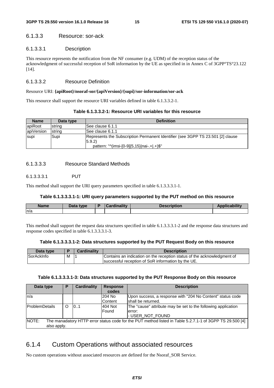#### 6.1.3.3 Resource: sor-ack

#### 6.1.3.3.1 Description

This resource represents the notification from the NF consumer (e.g. UDM) of the reception status of the acknowledgment of successful reception of SoR information by the UE as specified in in Annex C of 3GPP°TS°23.122 [14].

#### 6.1.3.3.2 Resource Definition

#### Resource URI: **{apiRoot}/nsoraf-sor/{apiVersion}/{supi}/sor-information/sor-ack**

This resource shall support the resource URI variables defined in table 6.1.3.3.2-1.

| <b>Name</b> | Data type | <b>Definition</b>                                                                                                                        |
|-------------|-----------|------------------------------------------------------------------------------------------------------------------------------------------|
| apiRoot     | string    | ISee clause 6.1.1                                                                                                                        |
| apiVersion  | string    | ISee clause 6.1.1                                                                                                                        |
| supi        | Supi      | Represents the Subscription Permanent Identifier (see 3GPP TS 23.501 [2] clause<br>(5.9.2)<br>pattern: "^(imsi-[0-9]{5,15} nai-.+ .+)\$" |

#### 6.1.3.3.3 Resource Standard Methods

#### 6.1.3.3.3.1 PUT

This method shall support the URI query parameters specified in table 6.1.3.3.3.1-1.

#### **Table 6.1.3.3.3.1-1: URI query parameters supported by the PUT method on this resource**

| <b>Name</b> | <b>Pata type</b> | inality | <b>Description</b> | - - L. Hiss. . |
|-------------|------------------|---------|--------------------|----------------|
| ln/a        |                  |         |                    |                |
|             |                  |         |                    |                |

This method shall support the request data structures specified in table 6.1.3.3.3.1-2 and the response data structures and response codes specified in table 6.1.3.3.3.1-3.

#### **Table 6.1.3.3.3.1-2: Data structures supported by the PUT Request Body on this resource**

| Data type  |   | Cardinalitv | <b>Description</b>                                                      |
|------------|---|-------------|-------------------------------------------------------------------------|
| SorAckInfo | M |             | Contains an indication on the reception status of the acknowledgment of |
|            |   |             | Isuccessful reception of SoR information by the UE.                     |

#### **Table 6.1.3.3.3.1-3: Data structures supported by the PUT Response Body on this resource**

| Data type                                                                                                                | Р        | <b>Cardinality</b> | <b>Response</b> | <b>Description</b>                                            |  |
|--------------------------------------------------------------------------------------------------------------------------|----------|--------------------|-----------------|---------------------------------------------------------------|--|
|                                                                                                                          |          |                    | codes           |                                                               |  |
| ln/a                                                                                                                     |          |                    | 204 No          | Upon success, a response with "204 No Content" status code    |  |
|                                                                                                                          |          |                    | Content         | shall be returned.                                            |  |
| <b>ProblemDetails</b>                                                                                                    | $\Omega$ | 0.1                | 404 Not         | The "cause" attribute may be set to the following application |  |
|                                                                                                                          |          |                    | Found           | lerror:                                                       |  |
|                                                                                                                          |          |                    |                 | - USER_NOT_FOUND                                              |  |
| <b>NOTE:</b><br>The manadatory HTTP error status code for the PUT method listed in Table 5.2.7.1-1 of 3GPP TS 29.500 [4] |          |                    |                 |                                                               |  |
| also apply.                                                                                                              |          |                    |                 |                                                               |  |

### 6.1.4 Custom Operations without associated resources

No custom operations without associated resources are defined for the Nsoraf\_SOR Service.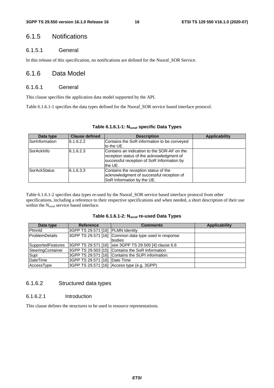#### 6.1.5 Notifications

#### 6.1.5.1 General

In this release of this specification, no notifications are defined for the Nsoraf\_SOR Service.

#### 6.1.6 Data Model

#### 6.1.6.1 General

This clause specifies the application data model supported by the API.

Table 6.1.6.1-1 specifies the data types defined for the Nsoraf\_SOR service based interface protocol.

| Data type           | <b>Clause defined</b> | <b>Description</b>                                                                                                                                | Applicability |
|---------------------|-----------------------|---------------------------------------------------------------------------------------------------------------------------------------------------|---------------|
| SorInformation      | 6.1.6.2.2             | Contains the SoR information to be conveyed<br>lto the UE.                                                                                        |               |
| SorAckInfo          | 6.1.6.2.3             | Contains an indication to the SOR-AF on the<br>reception status of the acknowledgment of<br>successful reception of SoR Information by<br>the UE. |               |
| <b>SorAckStatus</b> | 6.1.6.3.3             | Contains the reception status of the<br>acknowledgment of successful reception of<br>SoR Information by the UE.                                   |               |

#### **Table 6.1.6.1-1: Nsoraf specific Data Types**

Table 6.1.6.1-2 specifies data types re-used by the Nsoraf\_SOR service based interface protocol from other specifications, including a reference to their respective specifications and when needed, a short description of their use within the N<sub>soraf</sub> service based interface.

#### **Table 6.1.6.1-2: Nsoraf re-used Data Types**

| Data type                | <b>Reference</b>                  | <b>Comments</b>                                       | <b>Applicability</b> |
|--------------------------|-----------------------------------|-------------------------------------------------------|----------------------|
| Pimnid                   | 3GPP TS 29.571 [16] PLMN Identity |                                                       |                      |
| <b>IProblemDetails</b>   |                                   | 3GPP TS 29.571 [16] Common data type used in response |                      |
|                          |                                   | bodies                                                |                      |
| <b>SupportedFeatures</b> |                                   | 3GPP TS 29.571 [16] see 3GPP TS 29.500 [4] clause 6.6 |                      |
| SteeringContainer        |                                   | 3GPP TS 29.503 [15] Contains the SoR Information      |                      |
| Supi                     |                                   | 3GPP TS 29.571 [16] Contains the SUPI information.    |                      |
| DateTime                 | 3GPP TS 29.571 [16] Date Time     |                                                       |                      |
| AccessType               |                                   | 3GPP TS 29.571 [16] Access type (e.g. 3GPP)           |                      |

#### 6.1.6.2 Structured data types

#### 6.1.6.2.1 Introduction

This clause defines the structures to be used in resource representations.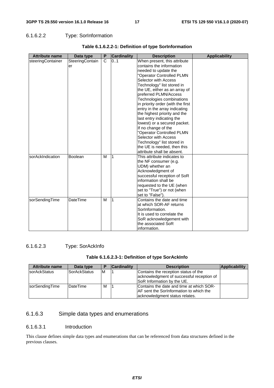#### 6.1.6.2.2 Type: SorInformation

| <b>Attribute name</b> | Data type       | P            | Cardinality | <b>Description</b>                | <b>Applicability</b> |
|-----------------------|-----------------|--------------|-------------|-----------------------------------|----------------------|
| steeringContainer     | SteeringContain | $\mathsf{C}$ | 0.1         | When present, this attribute      |                      |
|                       | er              |              |             | contains the information          |                      |
|                       |                 |              |             | needed to update the              |                      |
|                       |                 |              |             | "Operator Controlled PLMN         |                      |
|                       |                 |              |             | Selector with Access              |                      |
|                       |                 |              |             | Technology" list stored in        |                      |
|                       |                 |              |             | the UE, either as an array of     |                      |
|                       |                 |              |             | preferred PLMN/Access             |                      |
|                       |                 |              |             | Technologies combinations         |                      |
|                       |                 |              |             | in priority order (with the first |                      |
|                       |                 |              |             | entry in the array indicating     |                      |
|                       |                 |              |             | the highest priority and the      |                      |
|                       |                 |              |             | last entry indicating the         |                      |
|                       |                 |              |             | lowest) or a secured packet.      |                      |
|                       |                 |              |             | If no change of the               |                      |
|                       |                 |              |             | "Operator Controlled PLMN         |                      |
|                       |                 |              |             | Selector with Access              |                      |
|                       |                 |              |             | Technology" list stored in        |                      |
|                       |                 |              |             | the UE is needed, then this       |                      |
|                       |                 |              |             | attribute shall be absent.        |                      |
| sorAckIndication      | <b>Boolean</b>  | M            | 1           | This attribute indicates to       |                      |
|                       |                 |              |             | the NF consumer (e.g.             |                      |
|                       |                 |              |             | UDM) whether an                   |                      |
|                       |                 |              |             | Acknowledgment of                 |                      |
|                       |                 |              |             | successful reception of SoR       |                      |
|                       |                 |              |             | information shall be              |                      |
|                       |                 |              |             | requested to the UE (when         |                      |
|                       |                 |              |             | set to "True") or not (when       |                      |
|                       |                 |              |             | set to "False").                  |                      |
| sorSendingTime        | <b>DateTime</b> | м            | 1           | Contains the date and time        |                      |
|                       |                 |              |             | at which SOR-AF returns           |                      |
|                       |                 |              |             | SorInformation.                   |                      |
|                       |                 |              |             | It is used to correlate the       |                      |
|                       |                 |              |             | SoR acknowledgement with          |                      |
|                       |                 |              |             | the associated SoR                |                      |
|                       |                 |              |             | information.                      |                      |

#### **Table 6.1.6.2.2-1: Definition of type SorInformation**

#### 6.1.6.2.3 Type: SorAckInfo

#### **Table 6.1.6.2.3-1: Definition of type SorAckInfo**

| <b>Attribute name</b> | Data type           |    | <b>Cardinality</b> | <b>Description</b>                        | <b>Applicability</b> |
|-----------------------|---------------------|----|--------------------|-------------------------------------------|----------------------|
| sorAckStatus          | <b>SorAckStatus</b> | ΙM |                    | Contains the reception status of the      |                      |
|                       |                     |    |                    | acknowledgment of successful reception of |                      |
|                       |                     |    |                    | SoR Information by the UE.                |                      |
| sorSendingTime        | <b>IDateTime</b>    | М  |                    | Contains the date and time at which SOR-  |                      |
|                       |                     |    |                    | AF sent the SorInformation to which the   |                      |
|                       |                     |    |                    | acknowledgment status relates.            |                      |

#### 6.1.6.3 Simple data types and enumerations

#### 6.1.6.3.1 Introduction

This clause defines simple data types and enumerations that can be referenced from data structures defined in the previous clauses.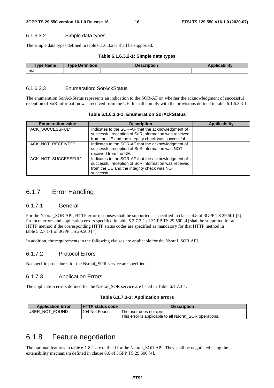#### 6.1.6.3.2 Simple data types

The simple data types defined in table 6.1.6.3.2-1 shall be supported.

#### **Table 6.1.6.3.2-1: Simple data types**

| Type Name | <b>Type Definition</b> | <b>Description</b> | <b>Applicability</b> |
|-----------|------------------------|--------------------|----------------------|
| n/a       |                        |                    |                      |

#### 6.1.6.3.3 Enumeration: SorAckStatus

The enumeration SorAckStatus represents an indication to the SOR-AF on whether the acknowledgment of successful reception of SoR information was received from the UE. It shall comply with the provisions defined in table 6.1.6.3.3-1.

| <b>Enumeration value</b> | <b>Description</b>                                                                                                                                                       | <b>Applicability</b> |
|--------------------------|--------------------------------------------------------------------------------------------------------------------------------------------------------------------------|----------------------|
| "ACK_SUCCESSFUL"         | Indicates to the SOR-AF that the acknowledgment of<br>successful reception of SoR information was received<br>from the UE and the integrity check was successful.        |                      |
| "ACK_NOT_RECEIVED"       | Indicates to the SOR-AF that the acknowledgment of<br>successful reception of SoR information was NOT<br>received from the UE.                                           |                      |
| "ACK_NOT_SUCCESSFUL"     | Indicates to the SOR-AF that the acknowledgment of<br>successful reception of SoR information was received<br>from the UE and the integrity check was NOT<br>successful. |                      |

**Table 6.1.6.3.3-1: Enumeration SorAckStatus** 

#### 6.1.7 Error Handling

#### 6.1.7.1 General

For the Nsoraf SOR API, HTTP error responses shall be supported as specified in clause 4.8 of 3GPP TS 29.501 [5]. Protocol errors and application errors specified in table 5.2.7.2-1 of 3GPP TS 29.500 [4] shall be supported for an HTTP method if the corresponding HTTP status codes are specified as mandatory for that HTTP method in table 5.2.7.1-1 of 3GPP TS 29.500 [4].

In addition, the requirements in the following clauses are applicable for the Nsoraf\_SOR API.

#### 6.1.7.2 Protocol Errors

No specific procedures for the Nsoraf\_SOR service are specified.

#### 6.1.7.3 Application Errors

The application errors defined for the Nsoraf SOR service are listed in Table 6.1.7.3-1.

#### **Table 6.1.7.3-1: Application errors**

| <b>Application Error</b> | <b>HTTP status code</b> | <b>Description</b>                                     |
|--------------------------|-------------------------|--------------------------------------------------------|
| <b>IUSER NOT FOUND</b>   | 1404 Not Found          | The user does not exist                                |
|                          |                         | This error is applicable to all Nsoraf_SOR operations. |

### 6.1.8 Feature negotiation

The optional features in table 6.1.8-1 are defined for the Nsoraf\_SOR API. They shall be negotiated using the extensibility mechanism defined in clause 6.6 of 3GPP TS 29.500 [4].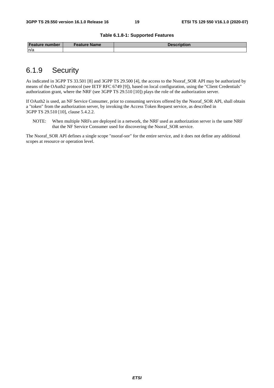#### **Table 6.1.8-1: Supported Features**

| <b>Feature number</b> | Feature Name | Description |
|-----------------------|--------------|-------------|
| n/a                   |              |             |

### 6.1.9 Security

As indicated in 3GPP TS 33.501 [8] and 3GPP TS 29.500 [4], the access to the Nsoraf\_SOR API may be authorized by means of the OAuth2 protocol (see IETF RFC 6749 [9]), based on local configuration, using the "Client Credentials" authorization grant, where the NRF (see 3GPP TS 29.510 [10]) plays the role of the authorization server.

If OAuth2 is used, an NF Service Consumer, prior to consuming services offered by the Nsoraf\_SOR API, shall obtain a "token" from the authorization server, by invoking the Access Token Request service, as described in 3GPP TS 29.510 [10], clause 5.4.2.2.

NOTE: When multiple NRFs are deployed in a network, the NRF used as authorization server is the same NRF that the NF Service Consumer used for discovering the Nsoraf\_SOR service.

The Nsoraf SOR API defines a single scope "nsoraf-sor" for the entire service, and it does not define any additional scopes at resource or operation level.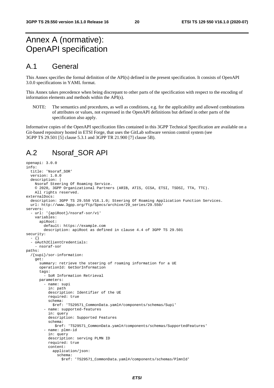### Annex A (normative): OpenAPI specification

### A.1 General

This Annex specifies the formal definition of the API(s) defined in the present specification. It consists of OpenAPI 3.0.0 specifications in YAML format.

This Annex takes precedence when being discrepant to other parts of the specification with respect to the encoding of information elements and methods within the API(s).

NOTE: The semantics and procedures, as well as conditions, e.g. for the applicability and allowed combinations of attributes or values, not expressed in the OpenAPI definitions but defined in other parts of the specification also apply.

Informative copies of the OpenAPI specification files contained in this 3GPP Technical Specification are available on a Git-based repository hosted in ETSI Forge, that uses the GitLab software version control system (see 3GPP TS 29.501 [5] clause 5.3.1 and 3GPP TR 21.900 [7] clause 5B).

### A.2 Nsoraf\_SOR API

```
openapi: 3.0.0 
info: 
   title: 'Nsoraf_SOR' 
   version: 1.0.0 
   description: | 
     Nsoraf Steering Of Roaming Service. 
     © 2020, 3GPP Organizational Partners (ARIB, ATIS, CCSA, ETSI, TSDSI, TTA, TTC). 
     All rights reserved. 
externalDocs: 
   description: 3GPP TS 29.550 V16.1.0; Steering Of Roaming Application Function Services. 
   url: http://www.3gpp.org/ftp/Specs/archive/29_series/29.550/ 
servers: 
   - url: '{apiRoot}/nsoraf-sor/v1' 
     variables: 
       apiRoot: 
         default: https://example.com 
         description: apiRoot as defined in clause 4.4 of 3GPP TS 29.501 
security: 
   - {} 
   - oAuth2ClientCredentials: 
     - nsoraf-sor 
paths: 
   /{supi}/sor-information: 
     get: 
       summary: retrieve the steering of roaming information for a UE 
       operationId: GetSorInformation 
       tags: 
         - SoR Information Retrieval 
       parameters: 
          - name: supi 
           in: path 
           description: Identifier of the UE 
           required: true 
           schema: 
              $ref: 'TS29571_CommonData.yaml#/components/schemas/Supi' 
          - name: supported-features 
           in: query 
           description: Supported Features 
            schema: 
              $ref: 'TS29571_CommonData.yaml#/components/schemas/SupportedFeatures' 
          - name: plmn-id 
           in: query 
           description: serving PLMN ID 
           required: true 
            content: 
              application/json: 
                schema: 
                  $ref: 'TS29571_CommonData.yaml#/components/schemas/PlmnId'
```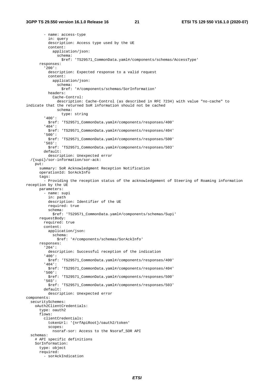- name: access-type in: query description: Access type used by the UE content: application/json: schema: \$ref: 'TS29571\_CommonData.yaml#/components/schemas/AccessType' responses: '200': description: Expected response to a valid request content: application/json: schema: \$ref: '#/components/schemas/SorInformation' headers: Cache-Control: description: Cache-Control (as described in RFC 7234) with value "no-cache" to indicate that the returned SoR information should not be cached schema: type: string '400': \$ref: 'TS29571\_CommonData.yaml#/components/responses/400' '404': \$ref: 'TS29571\_CommonData.yaml#/components/responses/404' '500': \$ref: 'TS29571\_CommonData.yaml#/components/responses/500' '503': \$ref: 'TS29571\_CommonData.yaml#/components/responses/503' default: description: Unexpected error /{supi}/sor-information/sor-ack: put: summary: SoR Acknowledgment Reception Notification operationId: SorAckInfo tags: - Providing the reception status of the acknowledgement of Steering of Roaming information reception by the UE parameters: - name: supi in: path description: Identifier of the UE required: true schema: \$ref: 'TS29571\_CommonData.yaml#/components/schemas/Supi' requestBody: required: true content: application/json: schema: \$ref: '#/components/schemas/SorAckInfo' responses: '204': description: Successful reception of the indication '400': \$ref: 'TS29571\_CommonData.yaml#/components/responses/400' '404': \$ref: 'TS29571\_CommonData.yaml#/components/responses/404' '500': \$ref: 'TS29571\_CommonData.yaml#/components/responses/500' '503': \$ref: 'TS29571\_CommonData.yaml#/components/responses/503' default: description: Unexpected error components: securitySchemes: oAuth2ClientCredentials: type: oauth2 flows: clientCredentials: tokenUrl: '{nrfApiRoot}/oauth2/token' scopes: nsoraf-sor: Access to the Nsoraf\_SOR API schemas: # API specific definitions SorInformation: type: object required: - sorAckIndication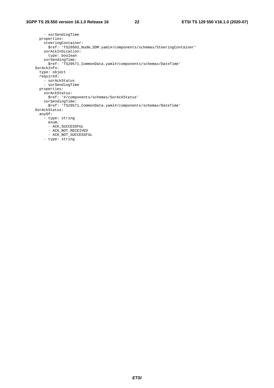```
 - sorSendingTime 
      properties: 
        steeringContainer: 
          $ref: 'TS29503_Nudm_SDM.yaml#/components/schemas/SteeringContainer' 
        sorAckIndication: 
          type: boolean 
        sorSendingTime: 
         $ref: 'TS29571_CommonData.yaml#/components/schemas/DateTime' 
    SorAckInfo: 
      type: object 
      required: 
 - sorAckStatus 
 - sorSendingTime 
      properties: 
        sorAckStatus: 
         $ref: '#/components/schemas/SorAckStatus' 
        sorSendingTime: 
          $ref: 'TS29571_CommonData.yaml#/components/schemas/DateTime' 
    SorAckStatus: 
      anyOf: 
        - type: string 
          enum: 
          - ACK_SUCCESSFUL 
          - ACK_NOT_RECEIVED 
- ACK_NOT_SUCCESSFUL
 - type: string
```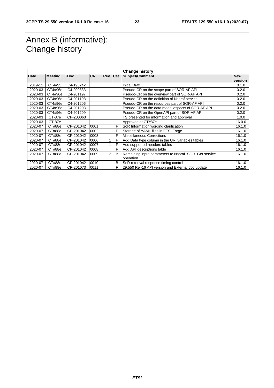### Annex B (informative): Change history

| <b>Change history</b> |                |             |           |                |     |                                                      |            |
|-----------------------|----------------|-------------|-----------|----------------|-----|------------------------------------------------------|------------|
| Date                  | <b>Meeting</b> | <b>TDoc</b> | <b>CR</b> | <b>Rev</b>     | Cat | <b>Subject/Comment</b>                               | <b>New</b> |
|                       |                |             |           |                |     |                                                      | version    |
| 2019-11               | CT4#95         | C4-195242   |           |                |     | Initial Draft.                                       | 0.1.0      |
| 2020-03               | CT4#96e        | C4-200833   |           |                |     | Pseudo-CR on the scope part of SOR-AF API            | 0.2.0      |
| 2020-03               | CT4#96e        | C4-201197   |           |                |     | Pseudo-CR on the overview part of SOR-AF API         | 0.2.0      |
| 2020-03               | CT4#96e        | C4-201198   |           |                |     | Pseudo-CR on the definition of Nsoraf service        | 0.2.0      |
| 2020-03               | CT4#96e        | C4-201206   |           |                |     | Pseudo-CR on the resources part of SOR-AF API        | 0.2.0      |
| 2020-03               | CT4#96e        | C4-201208   |           |                |     | Pseudo-CR on the data model aspects of SOR-AF API    | 0.2.0      |
| 2020-03               | CT4#96e        | C4-201209   |           |                |     | Pseudo-CR on the OpenAPI part of SOR-AF API          | 0.2.0      |
| 2020-03               | CT-87e         | CP-200063   |           |                |     | TS presented for information and approval            | 1.0.0      |
| 2020-03               | <b>CT-87e</b>  |             |           |                |     | Approved at CT#87e                                   | 16.0.0     |
| 2020-07               | CT#88e         | CP-201042   | 0001      |                | F   | SoR Information wording clarification                | 16.1.0     |
| 2020-07               | CT#88e         | CP-201042   | 0002      |                | F   | Storage of YAML files in ETSI Forge                  | 16.1.0     |
| 2020-07               | CT#88e         | CP-201042   | 0003      |                | F   | <b>Miscellaneous Corrections</b>                     | 16.1.0     |
| 2020-07               | CT#88e         | CP-201042   | 0006      |                | F   | Add Data type column in the URI variables tables     | 16.1.0     |
| 2020-07               | CT#88e         | CP-201042   | 0007      |                | F   | Add supported headers tables                         | 16.1.0     |
| 2020-07               | CT#88e         | CP-201042   | 0008      |                | F   | Add API descriptions table                           | 16.1.0     |
| 2020-07               | CT#88e         | CP-201042   | 0009      | $\overline{2}$ | B   | Remaining input parameters to Nsoraf_SOR_Get service | 16.1.0     |
|                       |                |             |           |                |     | operation                                            |            |
| 2020-07               | CT#88e         | CP-201042   | 0010      |                | B   | SoR retrieval response timing control                | 16.1.0     |
| 2020-07               | CT#88e         | CP-201073   | 0011      |                | F   | 29.550 Rel-16 API version and External doc update    | 16.1.0     |